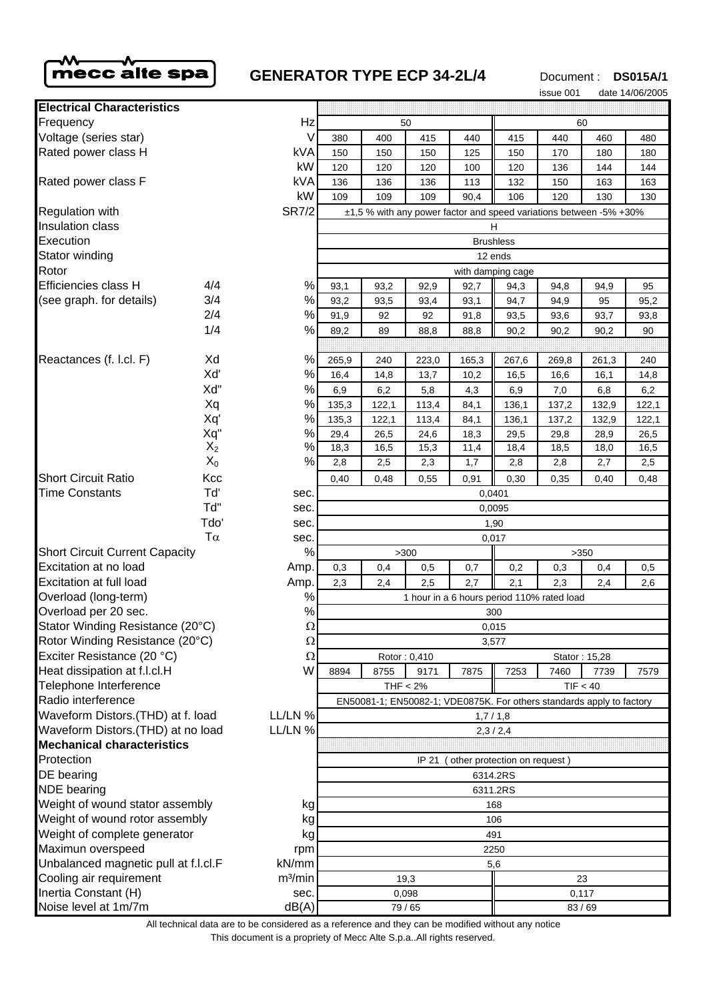

# **GENERATOR TYPE ECP 34-2L/4** Document : DS015A/1

issue 001 date 14/06/2005

| <b>Electrical Characteristics</b>             |           |                                                                    |                                                                       |              |              |                                            |                |                |               |              |
|-----------------------------------------------|-----------|--------------------------------------------------------------------|-----------------------------------------------------------------------|--------------|--------------|--------------------------------------------|----------------|----------------|---------------|--------------|
| Frequency                                     |           | Hz                                                                 | 50                                                                    |              |              |                                            | 60             |                |               |              |
| Voltage (series star)                         |           | V                                                                  | 380                                                                   | 400          | 415          | 440                                        | 415            | 440            | 460           | 480          |
| Rated power class H                           |           | <b>kVA</b>                                                         | 150                                                                   | 150          | 150          | 125                                        | 150            | 170            | 180           | 180          |
|                                               |           | kW                                                                 | 120                                                                   | 120          | 120          | 100                                        | 120            | 136            | 144           | 144          |
| Rated power class F                           |           | <b>kVA</b>                                                         | 136                                                                   | 136          | 136          | 113                                        | 132            | 150            | 163           | 163          |
|                                               |           | kW                                                                 | 109                                                                   | 109          | 109          | 90,4                                       | 106            | 120            | 130           | 130          |
| <b>SR7/2</b><br><b>Regulation with</b>        |           | ±1,5 % with any power factor and speed variations between -5% +30% |                                                                       |              |              |                                            |                |                |               |              |
| Insulation class                              |           | н                                                                  |                                                                       |              |              |                                            |                |                |               |              |
| Execution                                     |           |                                                                    | <b>Brushless</b>                                                      |              |              |                                            |                |                |               |              |
| Stator winding                                |           |                                                                    | 12 ends                                                               |              |              |                                            |                |                |               |              |
| Rotor                                         |           |                                                                    | with damping cage                                                     |              |              |                                            |                |                |               |              |
| Efficiencies class H                          | 4/4       | $\%$                                                               | 93,1                                                                  | 93,2         | 92,9         | 92,7                                       | 94,3           | 94,8           | 94,9          | 95           |
| (see graph. for details)                      | 3/4       | $\%$                                                               | 93,2                                                                  | 93,5         | 93,4         | 93,1                                       | 94,7           | 94,9           | 95            | 95,2         |
|                                               | 2/4       | $\%$                                                               | 91,9                                                                  | 92           | 92           | 91,8                                       | 93,5           | 93,6           | 93,7          | 93,8         |
|                                               | 1/4       | $\%$                                                               | 89,2                                                                  | 89           | 88,8         | 88,8                                       | 90,2           | 90,2           | 90,2          | 90           |
|                                               |           |                                                                    |                                                                       |              |              |                                            |                |                |               |              |
| Reactances (f. l.cl. F)                       | Xd        | %                                                                  | 265,9                                                                 | 240          | 223,0        | 165,3                                      | 267,6          | 269,8          | 261,3         | 240          |
|                                               | Xď<br>Xd" | $\%$<br>$\%$                                                       | 16,4                                                                  | 14,8         | 13,7         | 10,2                                       | 16,5           | 16,6           | 16,1          | 14,8         |
|                                               | Xq        | $\%$                                                               | 6,9<br>135,3                                                          | 6,2<br>122,1 | 5,8<br>113,4 | 4,3<br>84,1                                | 6,9            | 7,0            | 6,8<br>132,9  | 6,2<br>122,1 |
|                                               | Xq'       | $\%$                                                               | 135,3                                                                 | 122,1        | 113,4        | 84,1                                       | 136,1<br>136,1 | 137,2<br>137,2 | 132,9         | 122,1        |
|                                               | Xq"       | $\%$                                                               | 29,4                                                                  | 26,5         | 24,6         | 18,3                                       | 29,5           | 29,8           | 28,9          | 26,5         |
|                                               | $X_2$     | $\%$                                                               | 18,3                                                                  | 16,5         | 15,3         | 11,4                                       | 18,4           | 18,5           | 18,0          | 16,5         |
|                                               | $X_0$     | $\%$                                                               | 2,8                                                                   | 2,5          | 2,3          | 1,7                                        | 2,8            | 2,8            | 2,7           | 2,5          |
| <b>Short Circuit Ratio</b>                    | Kcc       |                                                                    | 0,40                                                                  | 0,48         | 0,55         | 0,91                                       | 0,30           | 0,35           | 0,40          | 0,48         |
| <b>Time Constants</b>                         | Tď        | sec.                                                               | 0,0401                                                                |              |              |                                            |                |                |               |              |
|                                               | Td"       | sec.                                                               | 0,0095                                                                |              |              |                                            |                |                |               |              |
|                                               | Tdo'      | sec.                                                               | 1,90                                                                  |              |              |                                            |                |                |               |              |
| $T\alpha$                                     |           | sec.                                                               | 0,017                                                                 |              |              |                                            |                |                |               |              |
| <b>Short Circuit Current Capacity</b>         |           | $\%$                                                               | >300<br>>350                                                          |              |              |                                            |                |                |               |              |
| Excitation at no load                         |           | Amp.                                                               | 0,3                                                                   | 0,4          | 0,5          | 0,7                                        | 0,2            | 0,3            | 0,4           | 0,5          |
| Excitation at full load                       |           | Amp.                                                               | 2,3                                                                   | 2,4          | 2,5          | 2,7                                        | 2,1            | 2,3            | 2,4           | 2,6          |
| Overload (long-term)                          |           | $\%$                                                               |                                                                       |              |              | 1 hour in a 6 hours period 110% rated load |                |                |               |              |
| Overload per 20 sec.                          |           | $\%$                                                               | 300                                                                   |              |              |                                            |                |                |               |              |
| Stator Winding Resistance (20°C)              |           | Ω                                                                  | 0,015                                                                 |              |              |                                            |                |                |               |              |
| Rotor Winding Resistance (20°C)               |           | $\Omega$                                                           | 3,577                                                                 |              |              |                                            |                |                |               |              |
| Exciter Resistance (20 °C)                    |           | $\Omega$                                                           |                                                                       |              | Rotor: 0,410 |                                            |                |                | Stator: 15,28 |              |
| Heat dissipation at f.l.cl.H                  |           | W                                                                  | 8894                                                                  | 8755         | 9171         | 7875                                       | 7253           | 7460           | 7739          | 7579         |
| Telephone Interference                        |           |                                                                    | THF < 2%<br>TIF < 40                                                  |              |              |                                            |                |                |               |              |
| Radio interference                            |           |                                                                    | EN50081-1; EN50082-1; VDE0875K. For others standards apply to factory |              |              |                                            |                |                |               |              |
| Waveform Distors.(THD) at f. load             |           | LL/LN %                                                            | 1,7/1,8                                                               |              |              |                                            |                |                |               |              |
| Waveform Distors. (THD) at no load<br>LL/LN % |           | 2,3/2,4                                                            |                                                                       |              |              |                                            |                |                |               |              |
| <b>Mechanical characteristics</b>             |           |                                                                    |                                                                       |              |              |                                            |                |                |               |              |
| Protection                                    |           |                                                                    | IP 21<br>(other protection on request)                                |              |              |                                            |                |                |               |              |
| DE bearing<br><b>NDE</b> bearing              |           | 6314.2RS                                                           |                                                                       |              |              |                                            |                |                |               |              |
| Weight of wound stator assembly               |           | 6311.2RS                                                           |                                                                       |              |              |                                            |                |                |               |              |
| kg<br>Weight of wound rotor assembly<br>kg    |           | 168<br>106                                                         |                                                                       |              |              |                                            |                |                |               |              |
| Weight of complete generator<br>kg            |           | 491                                                                |                                                                       |              |              |                                            |                |                |               |              |
| Maximun overspeed<br>rpm                      |           | 2250                                                               |                                                                       |              |              |                                            |                |                |               |              |
| Unbalanced magnetic pull at f.l.cl.F<br>kN/mm |           |                                                                    | 5,6                                                                   |              |              |                                            |                |                |               |              |
| Cooling air requirement                       |           | m <sup>3</sup> /min                                                | 19,3<br>23                                                            |              |              |                                            |                |                |               |              |
| Inertia Constant (H)                          |           | sec.                                                               | 0,098                                                                 |              |              |                                            | 0,117          |                |               |              |
| Noise level at 1m/7m                          |           | dB(A)                                                              | 79/65                                                                 |              |              |                                            | 83/69          |                |               |              |

This document is a propriety of Mecc Alte S.p.a..All rights reserved. All technical data are to be considered as a reference and they can be modified without any notice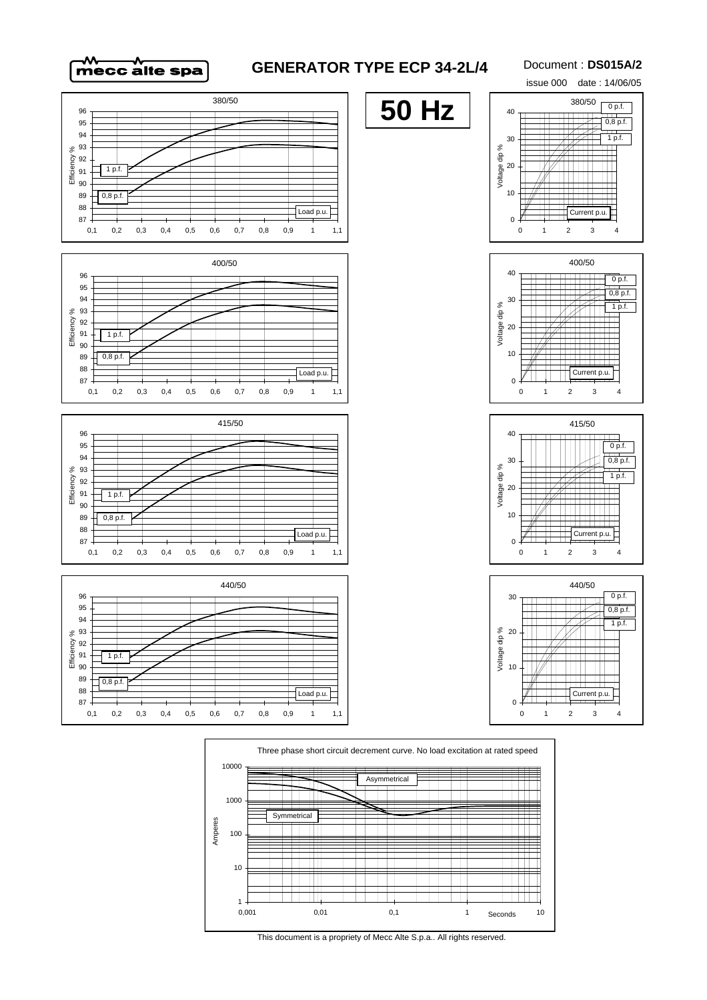

## **GENERATOR TYPE ECP 34-2L/4**

### Document : **DS015A/2**





This document is a propriety of Mecc Alte S.p.a.. All rights reserved.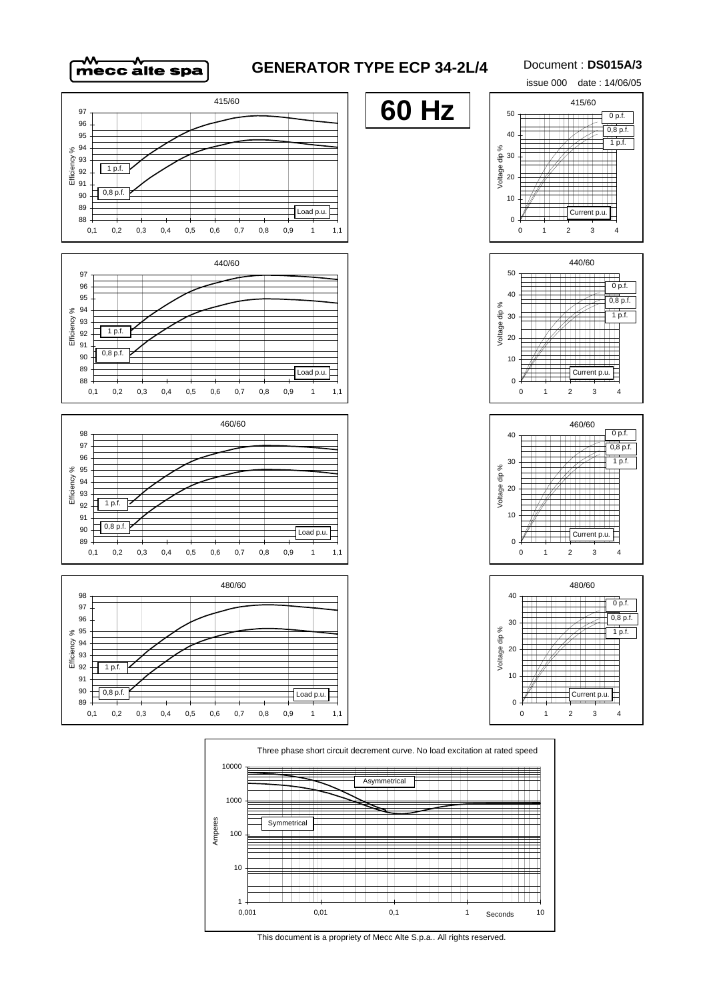## **GENERATOR TYPE ECP 34-2L/4**

#### Document : **DS015A/3**







This document is a propriety of Mecc Alte S.p.a.. All rights reserved.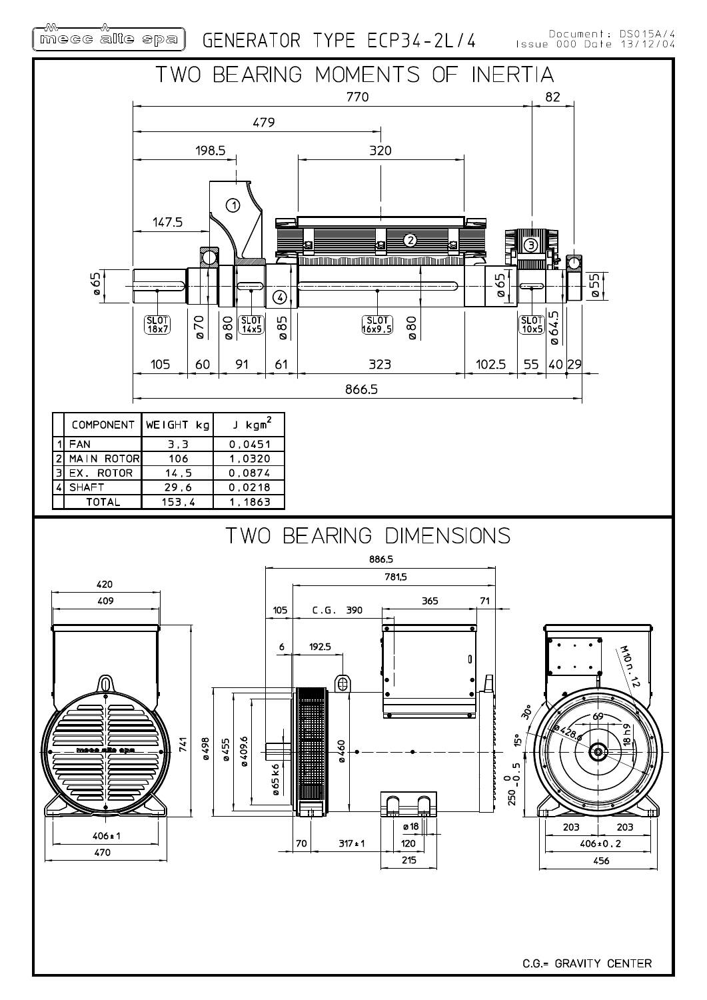